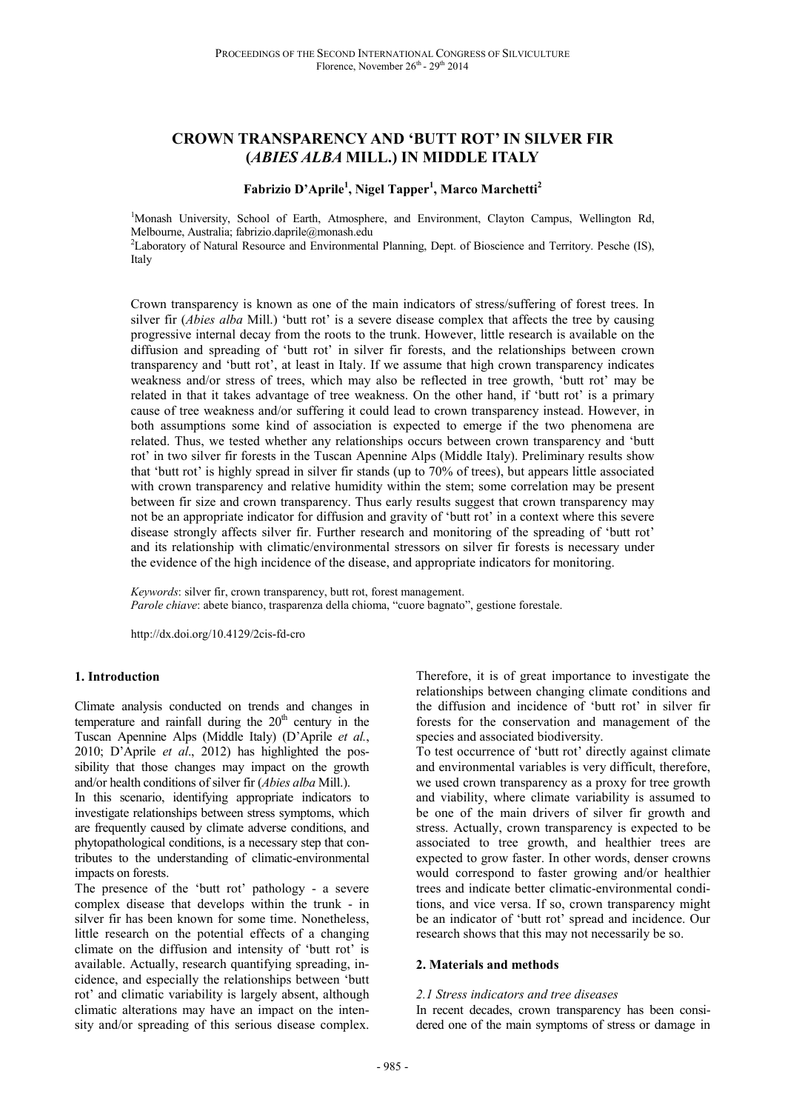# **CROWN TRANSPARENCY AND 'BUTT ROT' IN SILVER FIR (***ABIES ALBA* **MILL.) IN MIDDLE ITALY**

## **Fabrizio D'Aprile<sup>1</sup> , Nigel Tapper<sup>1</sup> , Marco Marchetti<sup>2</sup>**

<sup>1</sup>Monash University, School of Earth, Atmosphere, and Environment, Clayton Campus, Wellington Rd, Melbourne, Australia; fabrizio.daprile@monash.edu

<sup>2</sup>Laboratory of Natural Resource and Environmental Planning, Dept. of Bioscience and Territory. Pesche (IS), Italy

Crown transparency is known as one of the main indicators of stress/suffering of forest trees. In silver fir (*Abies alba* Mill.) 'butt rot' is a severe disease complex that affects the tree by causing progressive internal decay from the roots to the trunk. However, little research is available on the diffusion and spreading of 'butt rot' in silver fir forests, and the relationships between crown transparency and 'butt rot', at least in Italy. If we assume that high crown transparency indicates weakness and/or stress of trees, which may also be reflected in tree growth, 'butt rot' may be related in that it takes advantage of tree weakness. On the other hand, if 'butt rot' is a primary cause of tree weakness and/or suffering it could lead to crown transparency instead. However, in both assumptions some kind of association is expected to emerge if the two phenomena are related. Thus, we tested whether any relationships occurs between crown transparency and 'butt rot' in two silver fir forests in the Tuscan Apennine Alps (Middle Italy). Preliminary results show that 'butt rot' is highly spread in silver fir stands (up to 70% of trees), but appears little associated with crown transparency and relative humidity within the stem; some correlation may be present between fir size and crown transparency. Thus early results suggest that crown transparency may not be an appropriate indicator for diffusion and gravity of 'butt rot' in a context where this severe disease strongly affects silver fir. Further research and monitoring of the spreading of 'butt rot' and its relationship with climatic/environmental stressors on silver fir forests is necessary under the evidence of the high incidence of the disease, and appropriate indicators for monitoring.

*Keywords*: silver fir, crown transparency, butt rot, forest management. *Parole chiave*: abete bianco, trasparenza della chioma, "cuore bagnato", gestione forestale.

http://dx.doi.org/10.4129/2cis-fd-cro

### **1. Introduction**

Climate analysis conducted on trends and changes in temperature and rainfall during the  $20<sup>th</sup>$  century in the Tuscan Apennine Alps (Middle Italy) (D'Aprile *et al.*, 2010; D'Aprile *et al*., 2012) has highlighted the possibility that those changes may impact on the growth and/or health conditions of silver fir (*Abies alba* Mill.).

In this scenario, identifying appropriate indicators to investigate relationships between stress symptoms, which are frequently caused by climate adverse conditions, and phytopathological conditions, is a necessary step that contributes to the understanding of climatic-environmental impacts on forests.

The presence of the 'butt rot' pathology - a severe complex disease that develops within the trunk - in silver fir has been known for some time. Nonetheless, little research on the potential effects of a changing climate on the diffusion and intensity of 'butt rot' is available. Actually, research quantifying spreading, incidence, and especially the relationships between 'butt rot' and climatic variability is largely absent, although climatic alterations may have an impact on the intensity and/or spreading of this serious disease complex. Therefore, it is of great importance to investigate the relationships between changing climate conditions and the diffusion and incidence of 'butt rot' in silver fir forests for the conservation and management of the species and associated biodiversity.

To test occurrence of 'butt rot' directly against climate and environmental variables is very difficult, therefore, we used crown transparency as a proxy for tree growth and viability, where climate variability is assumed to be one of the main drivers of silver fir growth and stress. Actually, crown transparency is expected to be associated to tree growth, and healthier trees are expected to grow faster. In other words, denser crowns would correspond to faster growing and/or healthier trees and indicate better climatic-environmental conditions, and vice versa. If so, crown transparency might be an indicator of 'butt rot' spread and incidence. Our research shows that this may not necessarily be so.

### **2. Materials and methods**

#### *2.1 Stress indicators and tree diseases*

In recent decades, crown transparency has been considered one of the main symptoms of stress or damage in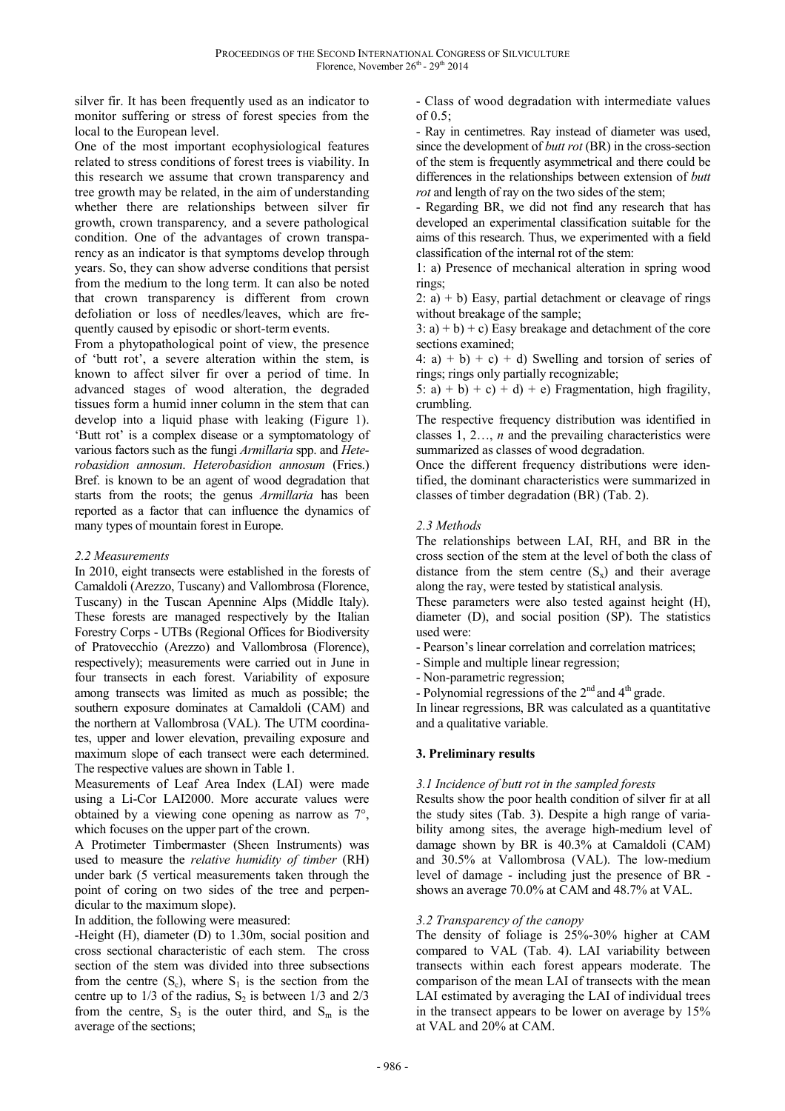silver fir. It has been frequently used as an indicator to monitor suffering or stress of forest species from the local to the European level.

One of the most important ecophysiological features related to stress conditions of forest trees is viability. In this research we assume that crown transparency and tree growth may be related, in the aim of understanding whether there are relationships between silver fir growth, crown transparency*,* and a severe pathological condition. One of the advantages of crown transparency as an indicator is that symptoms develop through years. So, they can show adverse conditions that persist from the medium to the long term. It can also be noted that crown transparency is different from crown defoliation or loss of needles/leaves, which are frequently caused by episodic or short-term events.

From a phytopathological point of view, the presence of 'butt rot', a severe alteration within the stem, is known to affect silver fir over a period of time. In advanced stages of wood alteration, the degraded tissues form a humid inner column in the stem that can develop into a liquid phase with leaking (Figure 1). 'Butt rot' is a complex disease or a symptomatology of various factors such as the fungi *Armillaria* spp. and *Heterobasidion annosum*. *Heterobasidion annosum* (Fries.) Bref. is known to be an agent of wood degradation that starts from the roots; the genus *Armillaria* has been reported as a factor that can influence the dynamics of many types of mountain forest in Europe.

### *2.2 Measurements*

In 2010, eight transects were established in the forests of Camaldoli (Arezzo, Tuscany) and Vallombrosa (Florence, Tuscany) in the Tuscan Apennine Alps (Middle Italy). These forests are managed respectively by the Italian Forestry Corps - UTBs (Regional Offices for Biodiversity of Pratovecchio (Arezzo) and Vallombrosa (Florence), respectively); measurements were carried out in June in four transects in each forest. Variability of exposure among transects was limited as much as possible; the southern exposure dominates at Camaldoli (CAM) and the northern at Vallombrosa (VAL). The UTM coordinates, upper and lower elevation, prevailing exposure and maximum slope of each transect were each determined. The respective values are shown in Table 1.

Measurements of Leaf Area Index (LAI) were made using a Li-Cor LAI2000. More accurate values were obtained by a viewing cone opening as narrow as 7°, which focuses on the upper part of the crown.

A Protimeter Timbermaster (Sheen Instruments) was used to measure the *relative humidity of timber* (RH) under bark (5 vertical measurements taken through the point of coring on two sides of the tree and perpendicular to the maximum slope).

In addition, the following were measured:

-Height (H), diameter (D) to 1.30m, social position and cross sectional characteristic of each stem. The cross section of the stem was divided into three subsections from the centre  $(S_c)$ , where  $S_1$  is the section from the centre up to  $1/3$  of the radius,  $S_2$  is between  $1/3$  and  $2/3$ from the centre,  $S_3$  is the outer third, and  $S_m$  is the average of the sections;

- Class of wood degradation with intermediate values of 0.5;

- Ray in centimetres. Ray instead of diameter was used, since the development of *butt rot* (BR) in the cross-section of the stem is frequently asymmetrical and there could be differences in the relationships between extension of *butt rot* and length of ray on the two sides of the stem;

- Regarding BR, we did not find any research that has developed an experimental classification suitable for the aims of this research. Thus, we experimented with a field classification of the internal rot of the stem:

1: a) Presence of mechanical alteration in spring wood rings;

2: a)  $+$  b) Easy, partial detachment or cleavage of rings without breakage of the sample;

 $3: a + b + c$  Easy breakage and detachment of the core sections examined;

4: a) + b) + c) + d) Swelling and torsion of series of rings; rings only partially recognizable;

5: a) + b) + c) + d) + e) Fragmentation, high fragility, crumbling.

The respective frequency distribution was identified in classes 1, 2…, *n* and the prevailing characteristics were summarized as classes of wood degradation.

Once the different frequency distributions were identified, the dominant characteristics were summarized in classes of timber degradation (BR) (Tab. 2).

## *2.3 Methods*

The relationships between LAI, RH, and BR in the cross section of the stem at the level of both the class of distance from the stem centre  $(S_x)$  and their average along the ray, were tested by statistical analysis.

These parameters were also tested against height (H), diameter (D), and social position (SP). The statistics used were:

- Pearson's linear correlation and correlation matrices;

- Simple and multiple linear regression;

- Non-parametric regression;

- Polynomial regressions of the  $2<sup>nd</sup>$  and  $4<sup>th</sup>$  grade.

In linear regressions, BR was calculated as a quantitative and a qualitative variable.

# **3. Preliminary results**

### *3.1 Incidence of butt rot in the sampled forests*

Results show the poor health condition of silver fir at all the study sites (Tab. 3). Despite a high range of variability among sites, the average high-medium level of damage shown by BR is 40.3% at Camaldoli (CAM) and 30.5% at Vallombrosa (VAL). The low-medium level of damage - including just the presence of BR shows an average 70.0% at CAM and 48.7% at VAL.

# *3.2 Transparency of the canopy*

The density of foliage is 25%-30% higher at CAM compared to VAL (Tab. 4). LAI variability between transects within each forest appears moderate. The comparison of the mean LAI of transects with the mean LAI estimated by averaging the LAI of individual trees in the transect appears to be lower on average by 15% at VAL and 20% at CAM.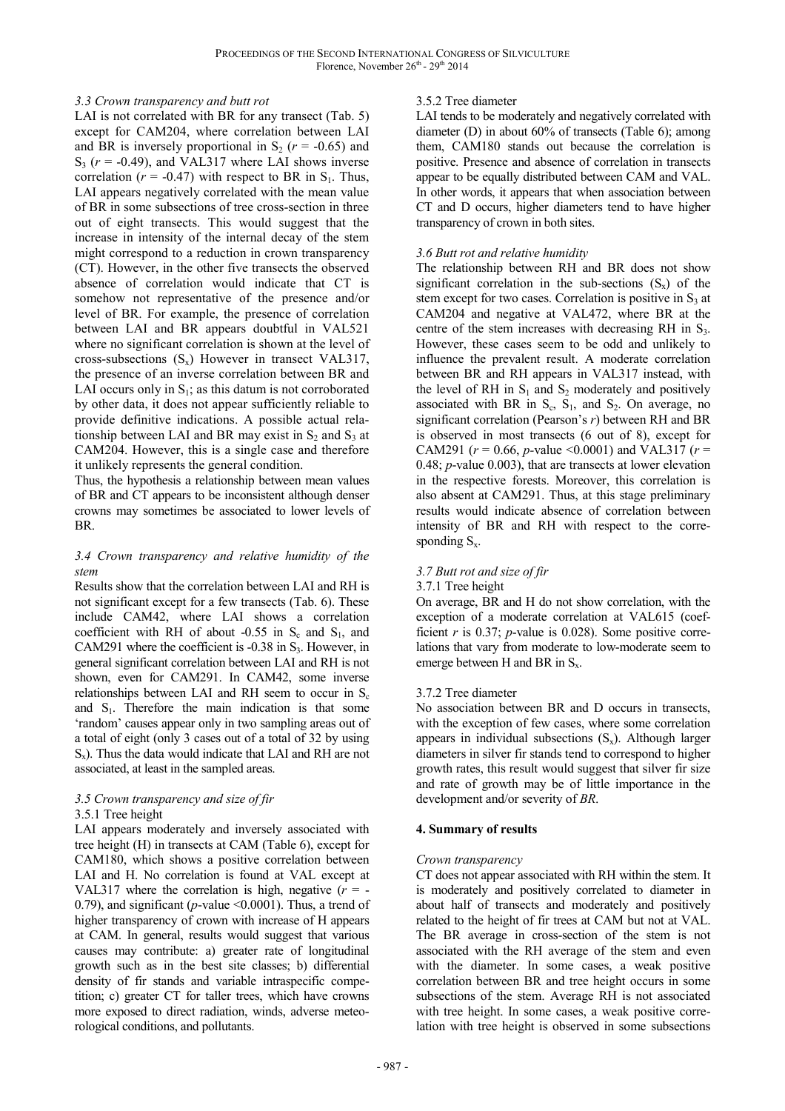## *3.3 Crown transparency and butt rot*

LAI is not correlated with BR for any transect (Tab. 5) except for CAM204, where correlation between LAI and BR is inversely proportional in  $S_2$  ( $r = -0.65$ ) and  $S_3$  ( $r = -0.49$ ), and VAL317 where LAI shows inverse correlation ( $r = -0.47$ ) with respect to BR in S<sub>1</sub>. Thus, LAI appears negatively correlated with the mean value of BR in some subsections of tree cross-section in three out of eight transects. This would suggest that the increase in intensity of the internal decay of the stem might correspond to a reduction in crown transparency (CT). However, in the other five transects the observed absence of correlation would indicate that CT is somehow not representative of the presence and/or level of BR. For example, the presence of correlation between LAI and BR appears doubtful in VAL521 where no significant correlation is shown at the level of cross-subsections  $(S_x)$  However in transect VAL317, the presence of an inverse correlation between BR and LAI occurs only in  $S_1$ ; as this datum is not corroborated by other data, it does not appear sufficiently reliable to provide definitive indications. A possible actual relationship between LAI and BR may exist in  $S_2$  and  $S_3$  at CAM204. However, this is a single case and therefore it unlikely represents the general condition.

Thus, the hypothesis a relationship between mean values of BR and CT appears to be inconsistent although denser crowns may sometimes be associated to lower levels of BR.

## *3.4 Crown transparency and relative humidity of the stem*

Results show that the correlation between LAI and RH is not significant except for a few transects (Tab. 6). These include CAM42, where LAI shows a correlation coefficient with RH of about  $-0.55$  in  $S_c$  and  $S_1$ , and CAM291 where the coefficient is  $-0.38$  in  $S_3$ . However, in general significant correlation between LAI and RH is not shown, even for CAM291. In CAM42, some inverse relationships between LAI and RH seem to occur in  $S_c$ and  $S_1$ . Therefore the main indication is that some 'random' causes appear only in two sampling areas out of a total of eight (only 3 cases out of a total of 32 by using  $S_x$ ). Thus the data would indicate that LAI and RH are not associated, at least in the sampled areas.

# *3.5 Crown transparency and size of fir*

### 3.5.1 Tree height

LAI appears moderately and inversely associated with tree height (H) in transects at CAM (Table 6), except for CAM180, which shows a positive correlation between LAI and H. No correlation is found at VAL except at VAL317 where the correlation is high, negative  $(r = -1)$ 0.79), and significant (*p*-value <0.0001). Thus, a trend of higher transparency of crown with increase of H appears at CAM. In general, results would suggest that various causes may contribute: a) greater rate of longitudinal growth such as in the best site classes; b) differential density of fir stands and variable intraspecific competition; c) greater CT for taller trees, which have crowns more exposed to direct radiation, winds, adverse meteorological conditions, and pollutants.

## 3.5.2 Tree diameter

LAI tends to be moderately and negatively correlated with diameter (D) in about 60% of transects (Table 6); among them, CAM180 stands out because the correlation is positive. Presence and absence of correlation in transects appear to be equally distributed between CAM and VAL. In other words, it appears that when association between CT and D occurs, higher diameters tend to have higher transparency of crown in both sites.

## *3.6 Butt rot and relative humidity*

The relationship between RH and BR does not show significant correlation in the sub-sections  $(S_x)$  of the stem except for two cases. Correlation is positive in  $S<sub>3</sub>$  at CAM204 and negative at VAL472, where BR at the centre of the stem increases with decreasing RH in  $S_3$ . However, these cases seem to be odd and unlikely to influence the prevalent result. A moderate correlation between BR and RH appears in VAL317 instead, with the level of RH in  $S_1$  and  $S_2$  moderately and positively associated with BR in  $S_c$ ,  $S_1$ , and  $S_2$ . On average, no significant correlation (Pearson's *r*) between RH and BR is observed in most transects (6 out of 8), except for CAM291 (*r* = 0.66, *p-*value <0.0001) and VAL317 (*r* = 0.48; *p*-value 0.003), that are transects at lower elevation in the respective forests. Moreover, this correlation is also absent at CAM291. Thus, at this stage preliminary results would indicate absence of correlation between intensity of BR and RH with respect to the corresponding  $S_x$ .

### *3.7 Butt rot and size of fir*

### 3.7.1 Tree height

On average, BR and H do not show correlation, with the exception of a moderate correlation at VAL615 (coefficient *r* is 0.37; *p*-value is 0.028). Some positive correlations that vary from moderate to low-moderate seem to emerge between H and BR in  $S_x$ .

### 3.7.2 Tree diameter

No association between BR and D occurs in transects, with the exception of few cases, where some correlation appears in individual subsections  $(S_x)$ . Although larger diameters in silver fir stands tend to correspond to higher growth rates, this result would suggest that silver fir size and rate of growth may be of little importance in the development and/or severity of *BR*.

### **4. Summary of results**

### *Crown transparency*

CT does not appear associated with RH within the stem. It is moderately and positively correlated to diameter in about half of transects and moderately and positively related to the height of fir trees at CAM but not at VAL. The BR average in cross-section of the stem is not associated with the RH average of the stem and even with the diameter. In some cases, a weak positive correlation between BR and tree height occurs in some subsections of the stem. Average RH is not associated with tree height. In some cases, a weak positive correlation with tree height is observed in some subsections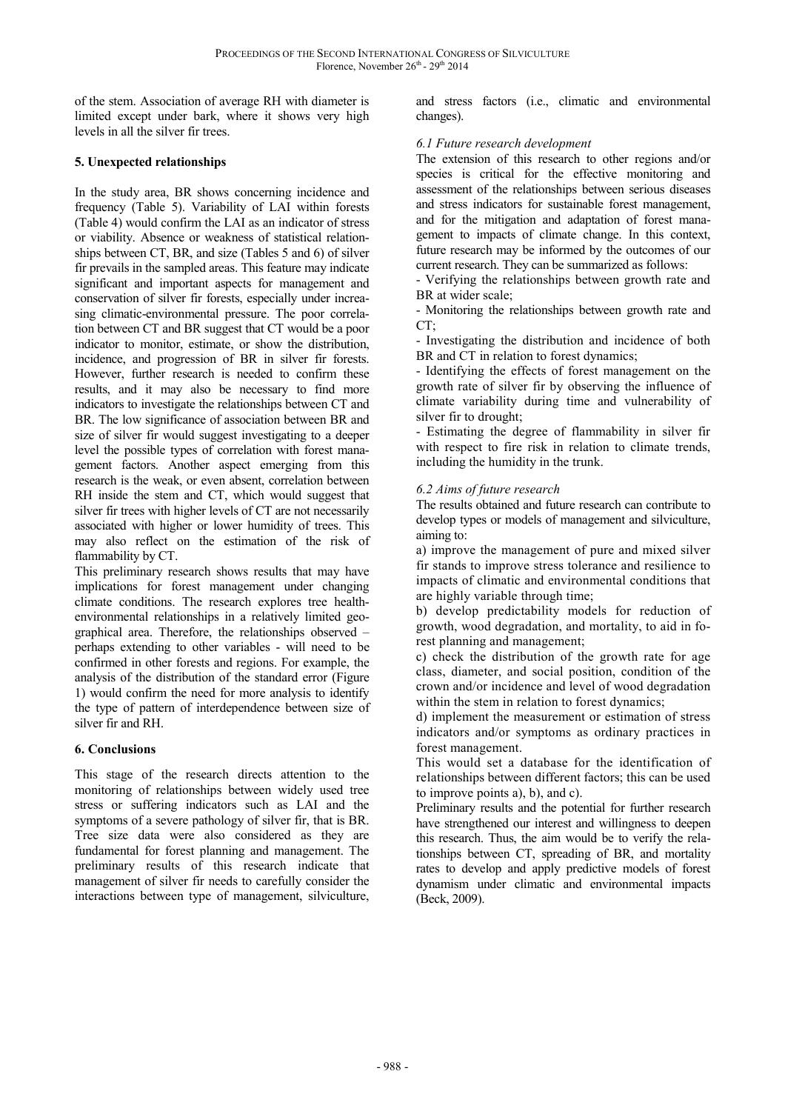of the stem. Association of average RH with diameter is limited except under bark, where it shows very high levels in all the silver fir trees.

# **5. Unexpected relationships**

In the study area, BR shows concerning incidence and frequency (Table 5). Variability of LAI within forests (Table 4) would confirm the LAI as an indicator of stress or viability. Absence or weakness of statistical relationships between CT, BR, and size (Tables 5 and 6) of silver fir prevails in the sampled areas. This feature may indicate significant and important aspects for management and conservation of silver fir forests, especially under increasing climatic-environmental pressure. The poor correlation between CT and BR suggest that CT would be a poor indicator to monitor, estimate, or show the distribution, incidence, and progression of BR in silver fir forests. However, further research is needed to confirm these results, and it may also be necessary to find more indicators to investigate the relationships between CT and BR. The low significance of association between BR and size of silver fir would suggest investigating to a deeper level the possible types of correlation with forest management factors. Another aspect emerging from this research is the weak, or even absent, correlation between RH inside the stem and CT, which would suggest that silver fir trees with higher levels of CT are not necessarily associated with higher or lower humidity of trees. This may also reflect on the estimation of the risk of flammability by CT.

This preliminary research shows results that may have implications for forest management under changing climate conditions. The research explores tree healthenvironmental relationships in a relatively limited geographical area. Therefore, the relationships observed – perhaps extending to other variables - will need to be confirmed in other forests and regions. For example, the analysis of the distribution of the standard error (Figure 1) would confirm the need for more analysis to identify the type of pattern of interdependence between size of silver fir and RH.

# **6. Conclusions**

This stage of the research directs attention to the monitoring of relationships between widely used tree stress or suffering indicators such as LAI and the symptoms of a severe pathology of silver fir, that is BR. Tree size data were also considered as they are fundamental for forest planning and management. The preliminary results of this research indicate that management of silver fir needs to carefully consider the interactions between type of management, silviculture,

and stress factors (i.e., climatic and environmental changes).

## *6.1 Future research development*

The extension of this research to other regions and/or species is critical for the effective monitoring and assessment of the relationships between serious diseases and stress indicators for sustainable forest management, and for the mitigation and adaptation of forest management to impacts of climate change. In this context, future research may be informed by the outcomes of our current research. They can be summarized as follows:

- Verifying the relationships between growth rate and BR at wider scale;

- Monitoring the relationships between growth rate and  $CT:$ 

- Investigating the distribution and incidence of both BR and CT in relation to forest dynamics;

- Identifying the effects of forest management on the growth rate of silver fir by observing the influence of climate variability during time and vulnerability of silver fir to drought;

- Estimating the degree of flammability in silver fir with respect to fire risk in relation to climate trends, including the humidity in the trunk.

## *6.2 Aims of future research*

The results obtained and future research can contribute to develop types or models of management and silviculture, aiming to:

a) improve the management of pure and mixed silver fir stands to improve stress tolerance and resilience to impacts of climatic and environmental conditions that are highly variable through time;

b) develop predictability models for reduction of growth, wood degradation, and mortality, to aid in forest planning and management;

c) check the distribution of the growth rate for age class, diameter, and social position, condition of the crown and/or incidence and level of wood degradation within the stem in relation to forest dynamics;

d) implement the measurement or estimation of stress indicators and/or symptoms as ordinary practices in forest management.

This would set a database for the identification of relationships between different factors; this can be used to improve points a), b), and c).

Preliminary results and the potential for further research have strengthened our interest and willingness to deepen this research. Thus, the aim would be to verify the relationships between CT, spreading of BR, and mortality rates to develop and apply predictive models of forest dynamism under climatic and environmental impacts (Beck, 2009).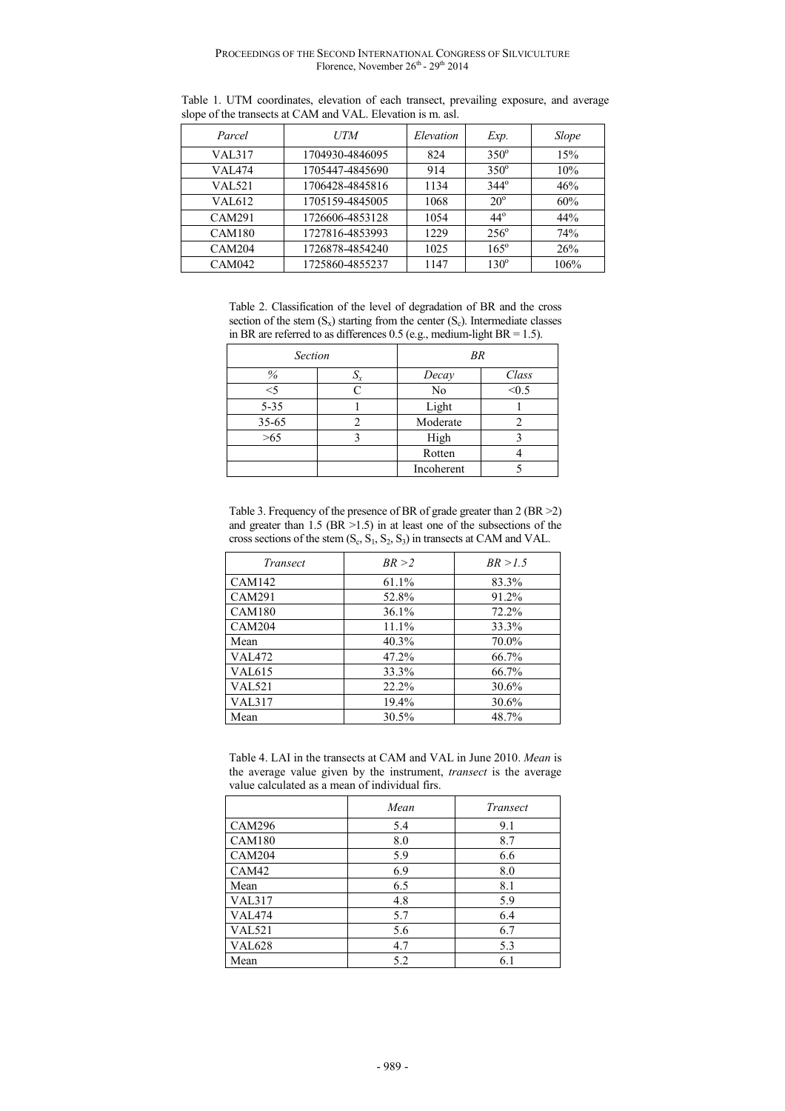| Parcel        | <i>UTM</i>      | Elevation | Exp.         | Slope |
|---------------|-----------------|-----------|--------------|-------|
| VAL317        | 1704930-4846095 | 824       | $350^\circ$  | 15%   |
| VAL474        | 1705447-4845690 | 914       | $350^\circ$  | 10%   |
| <b>VAL521</b> | 1706428-4845816 | 1134      | $344^\circ$  | 46%   |
| VAL612        | 1705159-4845005 | 1068      | $20^{\circ}$ | 60%   |
| <b>CAM291</b> | 1726606-4853128 | 1054      | $44^\circ$   | 44%   |
| <b>CAM180</b> | 1727816-4853993 | 1229      | $256^\circ$  | 74%   |
| <b>CAM204</b> | 1726878-4854240 | 1025      | $165^\circ$  | 26%   |
| <b>CAM042</b> | 1725860-4855237 | 1147      | $130^\circ$  | 106%  |

Table 1. UTM coordinates, elevation of each transect, prevailing exposure, and average slope of the transects at CAM and VAL. Elevation is m. asl.

Table 2. Classification of the level of degradation of BR and the cross section of the stem  $(S_x)$  starting from the center  $(S_c)$ . Intermediate classes in BR are referred to as differences  $0.5$  (e.g., medium-light BR = 1.5).

| <b>Section</b> |                 | <b>BR</b>      |       |  |
|----------------|-----------------|----------------|-------|--|
| $\%$           | $\mathcal{D}_X$ | Decay          | Class |  |
| $<$ 5          |                 | N <sub>o</sub> | < 0.5 |  |
| $5 - 35$       |                 | Light          |       |  |
| $35 - 65$      |                 | Moderate       |       |  |
| >65            |                 | High           |       |  |
|                |                 | Rotten         |       |  |
|                |                 | Incoherent     |       |  |

Table 3. Frequency of the presence of BR of grade greater than 2 (BR >2) and greater than 1.5 (BR >1.5) in at least one of the subsections of the cross sections of the stem  $(S_c, S_1, S_2, S_3)$  in transects at CAM and VAL.

| Transect      | BR > 2   | BR > 1.5 |
|---------------|----------|----------|
| <b>CAM142</b> | 61.1%    | 83.3%    |
| <b>CAM291</b> | 52.8%    | 91.2%    |
| CAM180        | 36.1%    | 72.2%    |
| CAM204        | $11.1\%$ | 33.3%    |
| Mean          | 40.3%    | 70.0%    |
| <b>VAL472</b> | 47.2%    | 66.7%    |
| VAL615        | 33.3%    | 66.7%    |
| <b>VAL521</b> | 22.2%    | 30.6%    |
| <b>VAL317</b> | 19.4%    | 30.6%    |
| Mean          | 30.5%    | 48.7%    |

Table 4. LAI in the transects at CAM and VAL in June 2010. *Mean* is the average value given by the instrument, *transect* is the average value calculated as a mean of individual firs.

|               | Mean | Transect |
|---------------|------|----------|
| <b>CAM296</b> | 5.4  | 9.1      |
| <b>CAM180</b> | 8.0  | 8.7      |
| <b>CAM204</b> | 5.9  | 6.6      |
| CAM42         | 6.9  | 8.0      |
| Mean          | 6.5  | 8.1      |
| <b>VAL317</b> | 4.8  | 5.9      |
| <b>VAL474</b> | 5.7  | 6.4      |
| <b>VAL521</b> | 5.6  | 6.7      |
| <b>VAL628</b> | 4.7  | 5.3      |
| Mean          | 5.2  | 6.1      |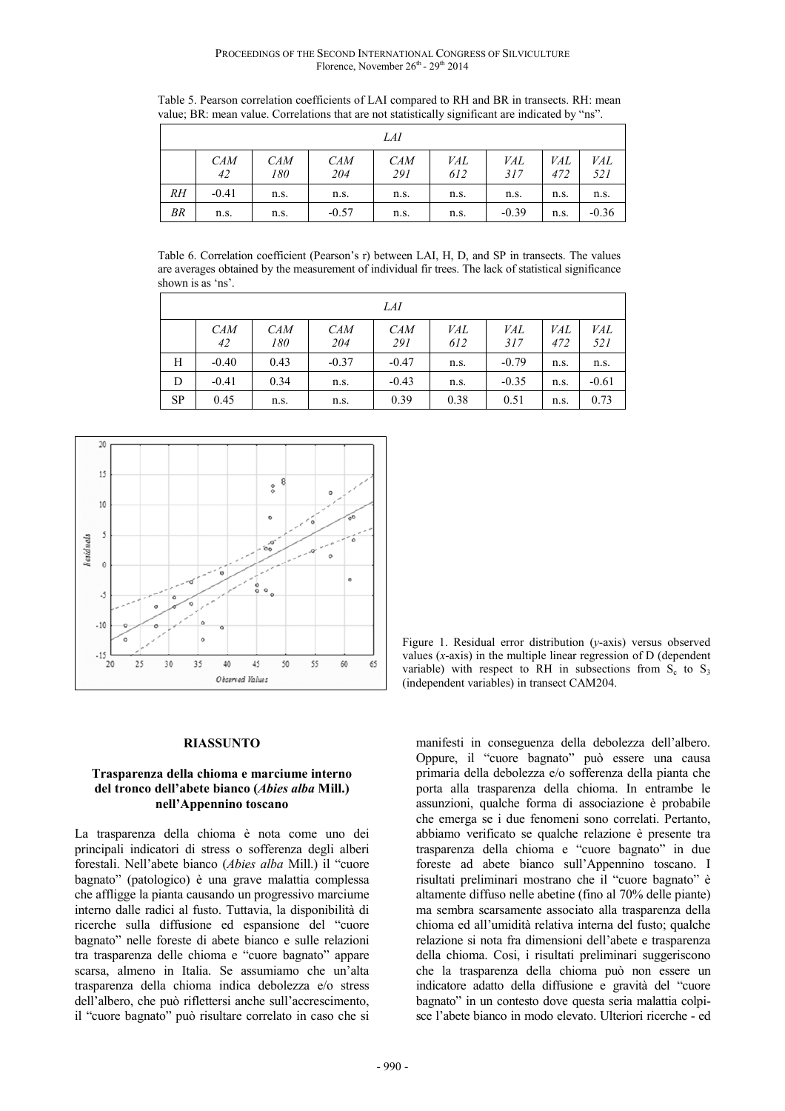Table 5. Pearson correlation coefficients of LAI compared to RH and BR in transects. RH: mean value; BR: mean value. Correlations that are not statistically significant are indicated by "ns".

|           |                  |                   |                   | LAI               |                   |                   |            |            |
|-----------|------------------|-------------------|-------------------|-------------------|-------------------|-------------------|------------|------------|
|           | <b>CAM</b><br>42 | <b>CAM</b><br>180 | <b>CAM</b><br>204 | <b>CAM</b><br>291 | <i>VAL</i><br>612 | <i>VAL</i><br>317 | VAL<br>472 | VAL<br>521 |
| RH        | $-0.41$          | n.s.              | n.s.              | n.s.              | n.s.              | n.s.              | n.s.       | n.s.       |
| <b>BR</b> | n.s.             | n.s.              | $-0.57$           | n.s.              | n.s.              | $-0.39$           | n.s.       | $-0.36$    |

Table 6. Correlation coefficient (Pearson's r) between LAI, H, D, and SP in transects. The values are averages obtained by the measurement of individual fir trees. The lack of statistical significance shown is as 'ns'.

| LAI       |                  |                   |                   |                   |                   |                   |                   |            |
|-----------|------------------|-------------------|-------------------|-------------------|-------------------|-------------------|-------------------|------------|
|           | <b>CAM</b><br>42 | <b>CAM</b><br>180 | <i>CAM</i><br>204 | <b>CAM</b><br>291 | <i>VAL</i><br>612 | <i>VAL</i><br>317 | <i>VAL</i><br>472 | VAL<br>521 |
| Н         | $-0.40$          | 0.43              | $-0.37$           | $-0.47$           | n.s.              | $-0.79$           | n.s.              | n.s.       |
| D         | $-0.41$          | 0.34              | n.s.              | $-0.43$           | n.s.              | $-0.35$           | n.s.              | $-0.61$    |
| <b>SP</b> | 0.45             | n.s.              | n.s.              | 0.39              | 0.38              | 0.51              | n.s.              | 0.73       |



#### **RIASSUNTO**

#### **Trasparenza della chioma e marciume interno del tronco dell'abete bianco (***Abies alba* **Mill.) nell'Appennino toscano**

La trasparenza della chioma è nota come uno dei principali indicatori di stress o sofferenza degli alberi forestali. Nell'abete bianco (*Abies alba* Mill.) il "cuore bagnato" (patologico) è una grave malattia complessa che affligge la pianta causando un progressivo marciume interno dalle radici al fusto. Tuttavia, la disponibilità di ricerche sulla diffusione ed espansione del "cuore bagnato" nelle foreste di abete bianco e sulle relazioni tra trasparenza delle chioma e "cuore bagnato" appare scarsa, almeno in Italia. Se assumiamo che un'alta trasparenza della chioma indica debolezza e/o stress dell'albero, che può riflettersi anche sull'accrescimento, il "cuore bagnato" può risultare correlato in caso che si

Figure 1. Residual error distribution (*y*-axis) versus observed values (*x*-axis) in the multiple linear regression of D (dependent variable) with respect to RH in subsections from  $S_c$  to  $S_3$ (independent variables) in transect CAM204.

manifesti in conseguenza della debolezza dell'albero. Oppure, il "cuore bagnato" può essere una causa primaria della debolezza e/o sofferenza della pianta che porta alla trasparenza della chioma. In entrambe le assunzioni, qualche forma di associazione è probabile che emerga se i due fenomeni sono correlati. Pertanto, abbiamo verificato se qualche relazione è presente tra trasparenza della chioma e "cuore bagnato" in due foreste ad abete bianco sull'Appennino toscano. I risultati preliminari mostrano che il "cuore bagnato" è altamente diffuso nelle abetine (fino al 70% delle piante) ma sembra scarsamente associato alla trasparenza della chioma ed all'umidità relativa interna del fusto; qualche relazione si nota fra dimensioni dell'abete e trasparenza della chioma. Cosi, i risultati preliminari suggeriscono che la trasparenza della chioma può non essere un indicatore adatto della diffusione e gravità del "cuore bagnato" in un contesto dove questa seria malattia colpisce l'abete bianco in modo elevato. Ulteriori ricerche - ed